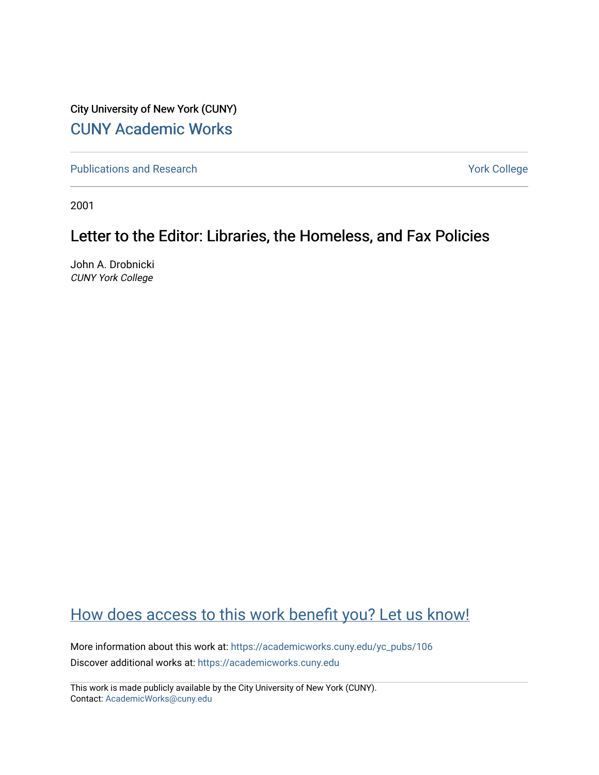City University of New York (CUNY) [CUNY Academic Works](https://academicworks.cuny.edu/) 

[Publications and Research](https://academicworks.cuny.edu/yc_pubs) Theorem 2012 Contract College Vork College

2001

## Letter to the Editor: Libraries, the Homeless, and Fax Policies

John A. Drobnicki CUNY York College

## [How does access to this work benefit you? Let us know!](http://ols.cuny.edu/academicworks/?ref=https://academicworks.cuny.edu/yc_pubs/106)

More information about this work at: [https://academicworks.cuny.edu/yc\\_pubs/106](https://academicworks.cuny.edu/yc_pubs/106) Discover additional works at: [https://academicworks.cuny.edu](https://academicworks.cuny.edu/?)

This work is made publicly available by the City University of New York (CUNY). Contact: [AcademicWorks@cuny.edu](mailto:AcademicWorks@cuny.edu)